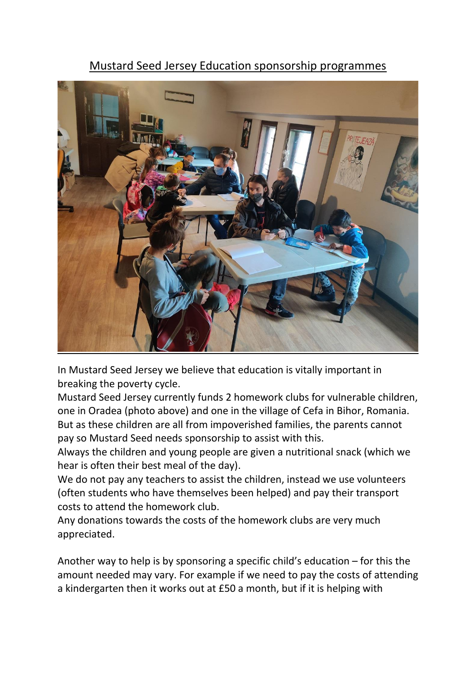## Mustard Seed Jersey Education sponsorship programmes



In Mustard Seed Jersey we believe that education is vitally important in breaking the poverty cycle.

Mustard Seed Jersey currently funds 2 homework clubs for vulnerable children, one in Oradea (photo above) and one in the village of Cefa in Bihor, Romania. But as these children are all from impoverished families, the parents cannot pay so Mustard Seed needs sponsorship to assist with this.

Always the children and young people are given a nutritional snack (which we hear is often their best meal of the day).

We do not pay any teachers to assist the children, instead we use volunteers (often students who have themselves been helped) and pay their transport costs to attend the homework club.

Any donations towards the costs of the homework clubs are very much appreciated.

Another way to help is by sponsoring a specific child's education – for this the amount needed may vary. For example if we need to pay the costs of attending a kindergarten then it works out at £50 a month, but if it is helping with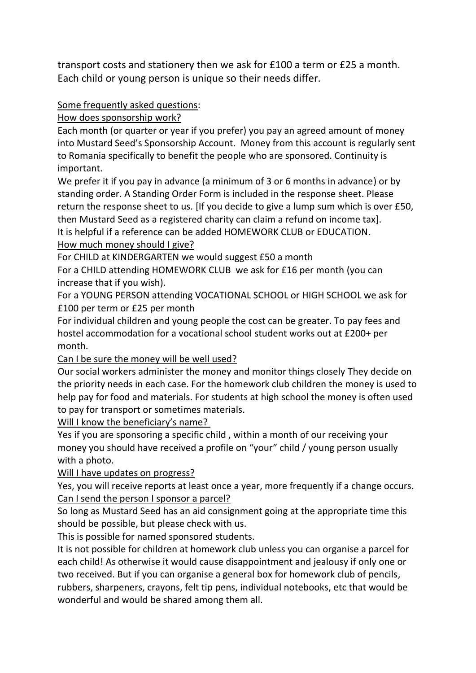transport costs and stationery then we ask for £100 a term or £25 a month. Each child or young person is unique so their needs differ.

## Some frequently asked questions:

How does sponsorship work?

Each month (or quarter or year if you prefer) you pay an agreed amount of money into Mustard Seed's Sponsorship Account. Money from this account is regularly sent to Romania specifically to benefit the people who are sponsored. Continuity is important.

We prefer it if you pay in advance (a minimum of 3 or 6 months in advance) or by standing order. A Standing Order Form is included in the response sheet. Please return the response sheet to us. [If you decide to give a lump sum which is over £50, then Mustard Seed as a registered charity can claim a refund on income tax]. It is helpful if a reference can be added HOMEWORK CLUB or EDUCATION.

How much money should I give?

For CHILD at KINDERGARTEN we would suggest £50 a month

For a CHILD attending HOMEWORK CLUB we ask for £16 per month (you can increase that if you wish).

For a YOUNG PERSON attending VOCATIONAL SCHOOL or HIGH SCHOOL we ask for £100 per term or £25 per month

For individual children and young people the cost can be greater. To pay fees and hostel accommodation for a vocational school student works out at £200+ per month.

Can I be sure the money will be well used?

Our social workers administer the money and monitor things closely They decide on the priority needs in each case. For the homework club children the money is used to help pay for food and materials. For students at high school the money is often used to pay for transport or sometimes materials.

Will I know the beneficiary's name?

Yes if you are sponsoring a specific child , within a month of our receiving your money you should have received a profile on "your" child / young person usually with a photo.

Will I have updates on progress?

Yes, you will receive reports at least once a year, more frequently if a change occurs. Can I send the person I sponsor a parcel?

So long as Mustard Seed has an aid consignment going at the appropriate time this should be possible, but please check with us.

This is possible for named sponsored students.

It is not possible for children at homework club unless you can organise a parcel for each child! As otherwise it would cause disappointment and jealousy if only one or two received. But if you can organise a general box for homework club of pencils, rubbers, sharpeners, crayons, felt tip pens, individual notebooks, etc that would be wonderful and would be shared among them all.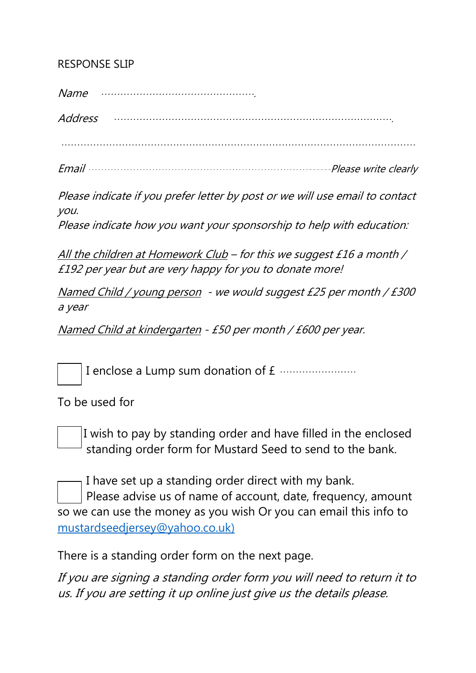## RESPONSE SLIP

Name ………………………………………….

Address …………………………………………………………………………….

…………………………………………………………………………………………………

Email ……………………………………………………………------Please write clearly

Please indicate if you prefer letter by post or we will use email to contact you.

Please indicate how you want your sponsorship to help with education:

All the children at Homework Club – for this we suggest £16 a month / £192 per year but are very happy for you to donate more!

Named Child / young person - we would suggest £25 per month / £300 a year

Named Child at kindergarten - £50 per month / £600 per year.

I enclose a Lump sum donation of £ ……………………

To be used for

 $\overline{\phantom{a}}$ 

 I wish to pay by standing order and have filled in the enclosed standing order form for Mustard Seed to send to the bank.

I have set up a standing order direct with my bank. Please advise us of name of account, date, frequency, amount so we can use the money as you wish Or you can email this info to [mustardseedjersey@yahoo.co.uk\)](mailto:mustardseedjersey@yahoo.co.uk)

There is a standing order form on the next page.

If you are signing a standing order form you will need to return it to us. If you are setting it up online just give us the details please.